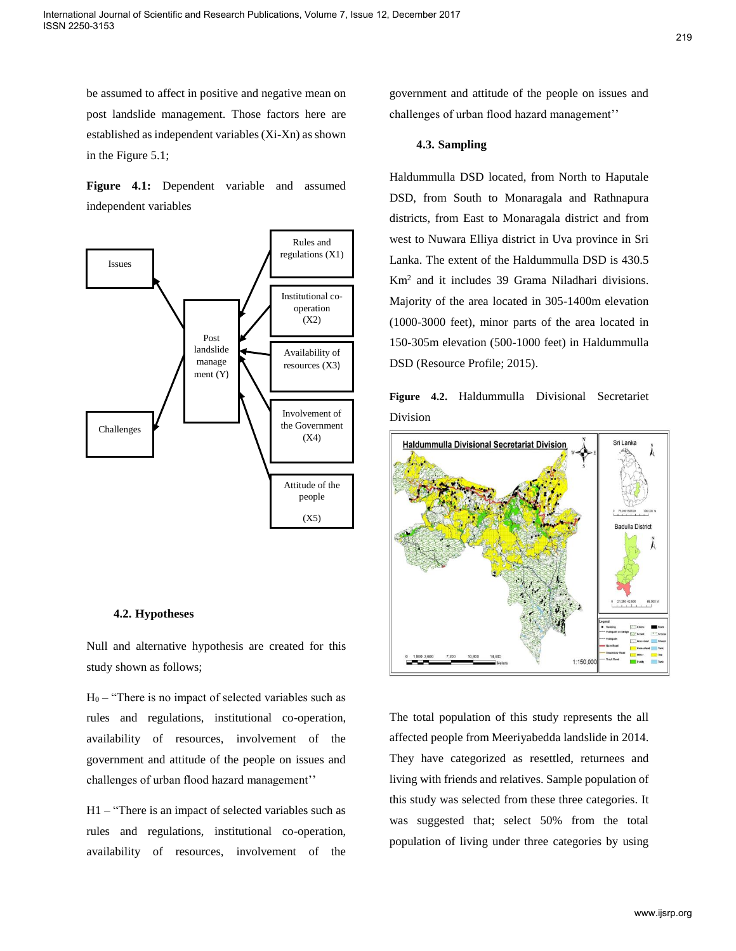be assumed to affect in positive and negative mean on post landslide management. Those factors here are established as independent variables (Xi-Xn) as shown in the Figure 5.1;

**Figure 4.1:** Dependent variable and assumed independent variables



### **4.2. Hypotheses**

Null and alternative hypothesis are created for this study shown as follows;

 $H_0$  – "There is no impact of selected variables such as rules and regulations, institutional co-operation, availability of resources, involvement of the government and attitude of the people on issues and challenges of urban flood hazard management''

H1 – "There is an impact of selected variables such as rules and regulations, institutional co-operation, availability of resources, involvement of the government and attitude of the people on issues and challenges of urban flood hazard management''

## **4.3. Sampling**

Haldummulla DSD located, from North to Haputale DSD, from South to Monaragala and Rathnapura districts, from East to Monaragala district and from west to Nuwara Elliya district in Uva province in Sri Lanka. The extent of the Haldummulla DSD is 430.5 Km<sup>2</sup> and it includes 39 Grama Niladhari divisions. Majority of the area located in 305-1400m elevation (1000-3000 feet), minor parts of the area located in 150-305m elevation (500-1000 feet) in Haldummulla DSD (Resource Profile; 2015).

**Figure 4.2.** Haldummulla Divisional Secretariet Division



The total population of this study represents the all affected people from Meeriyabedda landslide in 2014. They have categorized as resettled, returnees and living with friends and relatives. Sample population of this study was selected from these three categories. It was suggested that; select 50% from the total population of living under three categories by using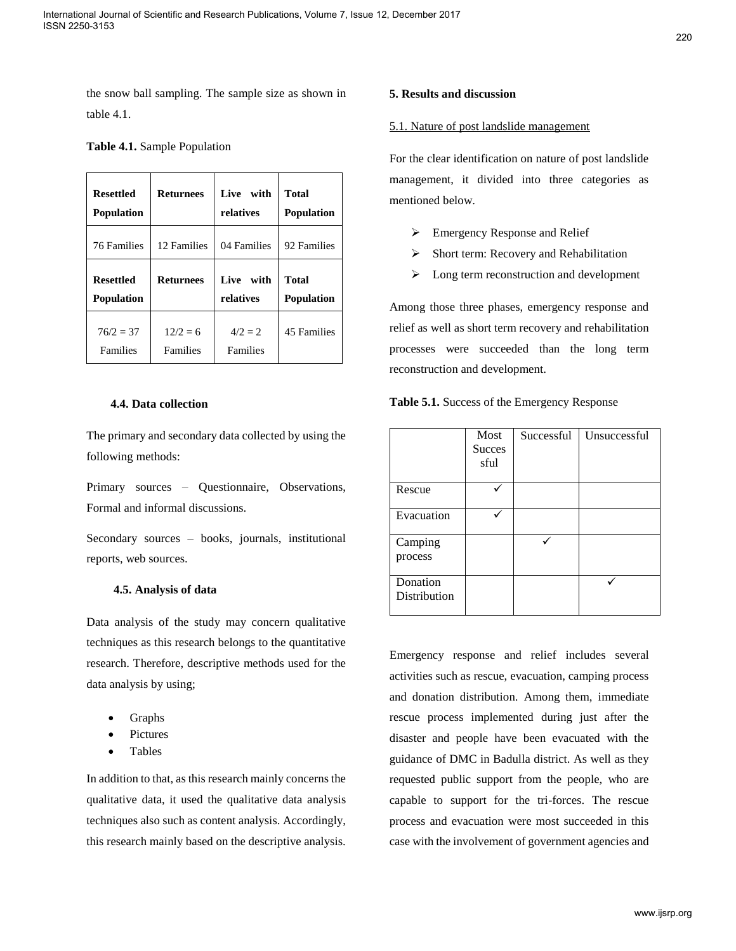the snow ball sampling. The sample size as shown in table 4.1.

|  |  |  | Table 4.1. Sample Population |
|--|--|--|------------------------------|
|--|--|--|------------------------------|

| <b>Resettled</b>   | <b>Returnees</b> | Live with   | <b>Total</b>      |
|--------------------|------------------|-------------|-------------------|
| <b>Population</b>  |                  | relatives   | <b>Population</b> |
| <b>76 Families</b> | 12 Families      | 04 Families | 92 Families       |
| <b>Resettled</b>   | <b>Returnees</b> | Live with   | <b>Total</b>      |
| <b>Population</b>  |                  | relatives   | <b>Population</b> |
| $76/2 = 37$        | $12/2 = 6$       | $4/2 = 2$   | 45 Families       |
| Families           | Families         | Families    |                   |

# **4.4. Data collection**

The primary and secondary data collected by using the following methods:

Primary sources – Questionnaire, Observations, Formal and informal discussions.

Secondary sources – books, journals, institutional reports, web sources.

## **4.5. Analysis of data**

Data analysis of the study may concern qualitative techniques as this research belongs to the quantitative research. Therefore, descriptive methods used for the data analysis by using;

- Graphs
- Pictures
- Tables

In addition to that, as this research mainly concerns the qualitative data, it used the qualitative data analysis techniques also such as content analysis. Accordingly, this research mainly based on the descriptive analysis.

# **5. Results and discussion**

### 5.1. Nature of post landslide management

For the clear identification on nature of post landslide management, it divided into three categories as mentioned below.

- Emergency Response and Relief
- $\triangleright$  Short term: Recovery and Rehabilitation
- $\triangleright$  Long term reconstruction and development

Among those three phases, emergency response and relief as well as short term recovery and rehabilitation processes were succeeded than the long term reconstruction and development.

| Table 5.1. Success of the Emergency Response |  |  |  |
|----------------------------------------------|--|--|--|
|----------------------------------------------|--|--|--|

|                          | Most<br><b>Succes</b><br>sful | Successful | Unsuccessful |
|--------------------------|-------------------------------|------------|--------------|
| Rescue                   |                               |            |              |
| Evacuation               |                               |            |              |
| Camping<br>process       |                               |            |              |
| Donation<br>Distribution |                               |            |              |

Emergency response and relief includes several activities such as rescue, evacuation, camping process and donation distribution. Among them, immediate rescue process implemented during just after the disaster and people have been evacuated with the guidance of DMC in Badulla district. As well as they requested public support from the people, who are capable to support for the tri-forces. The rescue process and evacuation were most succeeded in this case with the involvement of government agencies and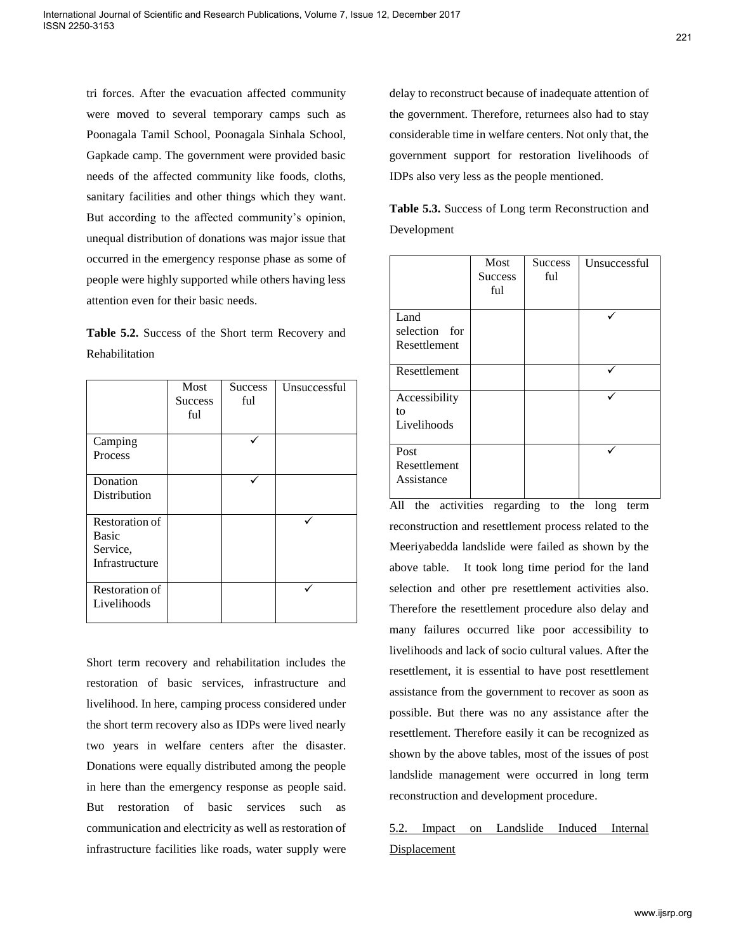tri forces. After the evacuation affected community were moved to several temporary camps such as Poonagala Tamil School, Poonagala Sinhala School, Gapkade camp. The government were provided basic needs of the affected community like foods, cloths, sanitary facilities and other things which they want. But according to the affected community's opinion, unequal distribution of donations was major issue that occurred in the emergency response phase as some of people were highly supported while others having less attention even for their basic needs.

**Table 5.2.** Success of the Short term Recovery and Rehabilitation

|                                                              | Most<br><b>Success</b><br>ful | <b>Success</b><br>ful | Unsuccessful |
|--------------------------------------------------------------|-------------------------------|-----------------------|--------------|
| Camping<br>Process                                           |                               |                       |              |
| Donation<br>Distribution                                     |                               |                       |              |
| Restoration of<br><b>Basic</b><br>Service,<br>Infrastructure |                               |                       |              |
| Restoration of<br>Livelihoods                                |                               |                       |              |

Short term recovery and rehabilitation includes the restoration of basic services, infrastructure and livelihood. In here, camping process considered under the short term recovery also as IDPs were lived nearly two years in welfare centers after the disaster. Donations were equally distributed among the people in here than the emergency response as people said. But restoration of basic services such as communication and electricity as well as restoration of infrastructure facilities like roads, water supply were delay to reconstruct because of inadequate attention of the government. Therefore, returnees also had to stay considerable time in welfare centers. Not only that, the government support for restoration livelihoods of IDPs also very less as the people mentioned.

**Table 5.3.** Success of Long term Reconstruction and Development

|                                       | Most<br><b>Success</b><br>ful | <b>Success</b><br>ful | Unsuccessful |
|---------------------------------------|-------------------------------|-----------------------|--------------|
| Land<br>selection for<br>Resettlement |                               |                       |              |
| Resettlement                          |                               |                       |              |
| Accessibility<br>to<br>Livelihoods    |                               |                       |              |
| Post<br>Resettlement<br>Assistance    |                               |                       |              |

All the activities regarding to the long term reconstruction and resettlement process related to the Meeriyabedda landslide were failed as shown by the above table. It took long time period for the land selection and other pre resettlement activities also. Therefore the resettlement procedure also delay and many failures occurred like poor accessibility to livelihoods and lack of socio cultural values. After the resettlement, it is essential to have post resettlement assistance from the government to recover as soon as possible. But there was no any assistance after the resettlement. Therefore easily it can be recognized as shown by the above tables, most of the issues of post landslide management were occurred in long term reconstruction and development procedure.

# 5.2. Impact on Landslide Induced Internal Displacement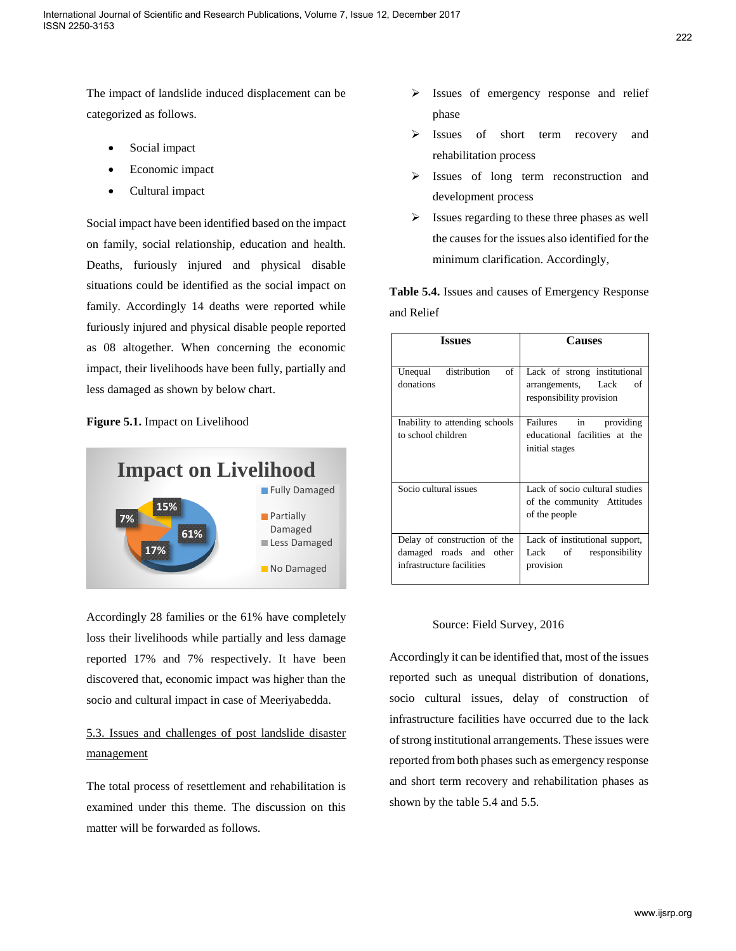The impact of landslide induced displacement can be categorized as follows.

- Social impact
- Economic impact
- Cultural impact

Social impact have been identified based on the impact on family, social relationship, education and health. Deaths, furiously injured and physical disable situations could be identified as the social impact on family. Accordingly 14 deaths were reported while furiously injured and physical disable people reported as 08 altogether. When concerning the economic impact, their livelihoods have been fully, partially and less damaged as shown by below chart.

# **Figure 5.1.** Impact on Livelihood



Accordingly 28 families or the 61% have completely loss their livelihoods while partially and less damage reported 17% and 7% respectively. It have been discovered that, economic impact was higher than the socio and cultural impact in case of Meeriyabedda.

# 5.3. Issues and challenges of post landslide disaster management

The total process of resettlement and rehabilitation is examined under this theme. The discussion on this matter will be forwarded as follows.

- Issues of emergency response and relief phase
- > Issues of short term recovery and rehabilitation process
- > Issues of long term reconstruction and development process
- $\triangleright$  Issues regarding to these three phases as well the causes for the issues also identified for the minimum clarification. Accordingly,

**Table 5.4.** Issues and causes of Emergency Response and Relief

| <b>Issues</b>                                                                        | <b>Causes</b>                                                                        |
|--------------------------------------------------------------------------------------|--------------------------------------------------------------------------------------|
| Unequal distribution<br>of<br>donations                                              | Lack of strong institutional<br>arrangements, Lack<br>οf<br>responsibility provision |
| Inability to attending schools<br>to school children                                 | Failures in providing<br>educational facilities at the<br>initial stages             |
| Socio cultural issues                                                                | Lack of socio cultural studies<br>of the community Attitudes<br>of the people        |
| Delay of construction of the<br>damaged roads and other<br>infrastructure facilities | Lack of institutional support,<br>Lack of<br>responsibility<br>provision             |

## Source: Field Survey, 2016

Accordingly it can be identified that, most of the issues reported such as unequal distribution of donations, socio cultural issues, delay of construction of infrastructure facilities have occurred due to the lack of strong institutional arrangements. These issues were reported from both phases such as emergency response and short term recovery and rehabilitation phases as shown by the table 5.4 and 5.5.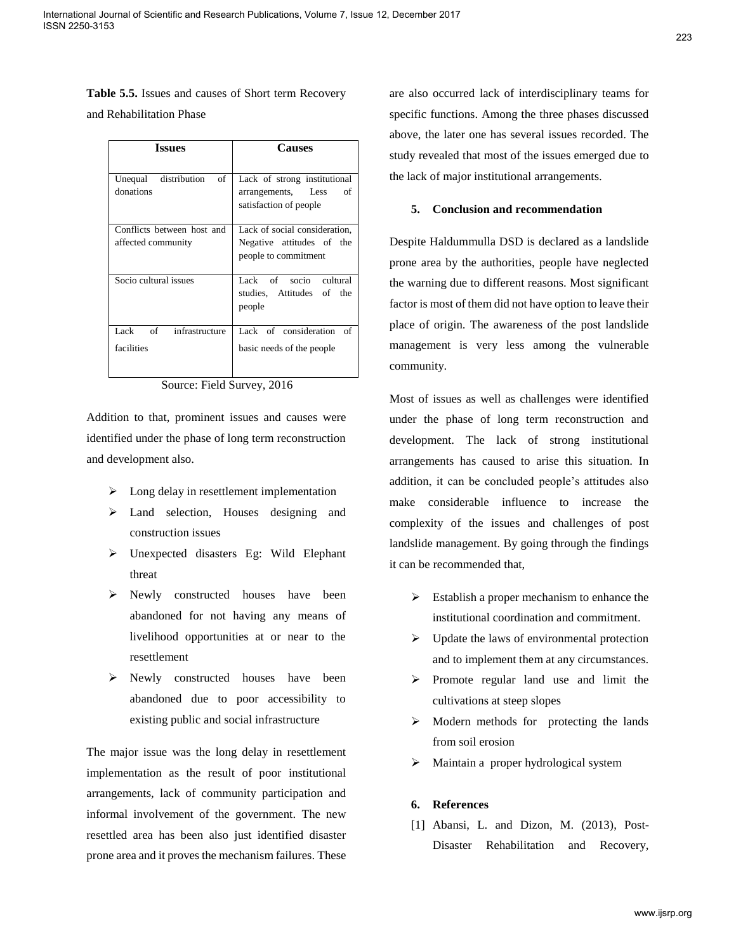**Table 5.5.** Issues and causes of Short term Recovery

and Rehabilitation Phase

| <b>Issues</b>                                    | <b>Causes</b>                                                                      |
|--------------------------------------------------|------------------------------------------------------------------------------------|
| distribution<br>of<br>Unequal<br>donations       | Lack of strong institutional<br>arrangements, Less<br>οf<br>satisfaction of people |
| Conflicts between host and<br>affected community | Lack of social consideration.<br>Negative attitudes of the<br>people to commitment |
| Socio cultural issues                            | Lack of socio cultural<br>studies, Attitudes of the<br>people                      |
| of<br>infrastructure<br>Lack<br>facilities       | Lack of consideration of<br>basic needs of the people                              |

Source: Field Survey, 2016

Addition to that, prominent issues and causes were identified under the phase of long term reconstruction and development also.

- $\triangleright$  Long delay in resettlement implementation
- > Land selection, Houses designing and construction issues
- Unexpected disasters Eg: Wild Elephant threat
- Newly constructed houses have been abandoned for not having any means of livelihood opportunities at or near to the resettlement
- $\triangleright$  Newly constructed houses have been abandoned due to poor accessibility to existing public and social infrastructure

The major issue was the long delay in resettlement implementation as the result of poor institutional arrangements, lack of community participation and informal involvement of the government. The new resettled area has been also just identified disaster prone area and it proves the mechanism failures. These

are also occurred lack of interdisciplinary teams for specific functions. Among the three phases discussed above, the later one has several issues recorded. The study revealed that most of the issues emerged due to the lack of major institutional arrangements.

### **5. Conclusion and recommendation**

Despite Haldummulla DSD is declared as a landslide prone area by the authorities, people have neglected the warning due to different reasons. Most significant factor is most of them did not have option to leave their place of origin. The awareness of the post landslide management is very less among the vulnerable community.

Most of issues as well as challenges were identified under the phase of long term reconstruction and development. The lack of strong institutional arrangements has caused to arise this situation. In addition, it can be concluded people's attitudes also make considerable influence to increase the complexity of the issues and challenges of post landslide management. By going through the findings it can be recommended that,

- $\triangleright$  Establish a proper mechanism to enhance the institutional coordination and commitment.
- $\triangleright$  Update the laws of environmental protection and to implement them at any circumstances.
- Promote regular land use and limit the cultivations at steep slopes
- $\triangleright$  Modern methods for protecting the lands from soil erosion
- > Maintain a proper hydrological system

### **6. References**

[1] Abansi, L. and Dizon, M. (2013), Post-Disaster Rehabilitation and Recovery,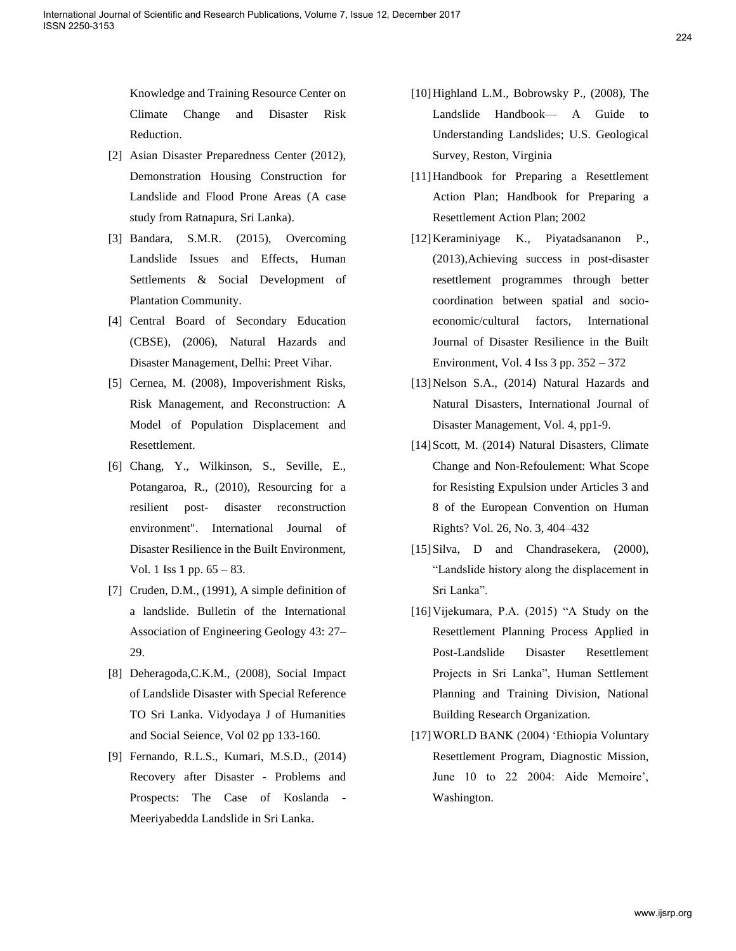Knowledge and Training Resource Center on Climate Change and Disaster Risk Reduction.

- [2] Asian Disaster Preparedness Center (2012), Demonstration Housing Construction for Landslide and Flood Prone Areas (A case study from Ratnapura, Sri Lanka).
- [3] Bandara, S.M.R. (2015), Overcoming Landslide Issues and Effects, Human Settlements & Social Development of Plantation Community.
- [4] Central Board of Secondary Education (CBSE), (2006), Natural Hazards and Disaster Management, Delhi: Preet Vihar.
- [5] Cernea, M. (2008), Impoverishment Risks, Risk Management, and Reconstruction: A Model of Population Displacement and Resettlement.
- [6] Chang, Y., Wilkinson, S., Seville, E., Potangaroa, R., (2010), Resourcing for a resilient post- disaster reconstruction environment". International Journal of Disaster Resilience in the Built Environment, Vol. 1 Iss 1 pp. 65 – 83.
- [7] Cruden, D.M., (1991), A simple definition of a landslide. Bulletin of the International Association of Engineering Geology 43: 27– 29.
- [8] Deheragoda,C.K.M., (2008), Social Impact of Landslide Disaster with Special Reference TO Sri Lanka. Vidyodaya J of Humanities and Social Seience, Vol 02 pp 133-160.
- [9] Fernando, R.L.S., Kumari, M.S.D., (2014) Recovery after Disaster - Problems and Prospects: The Case of Koslanda - Meeriyabedda Landslide in Sri Lanka.
- [10]Highland L.M., Bobrowsky P., (2008), The Landslide Handbook— A Guide to Understanding Landslides; U.S. Geological Survey, Reston, Virginia
- [11]Handbook for Preparing a Resettlement Action Plan; Handbook for Preparing a Resettlement Action Plan; 2002
- [12]Keraminiyage K., Piyatadsananon P., (2013),Achieving success in post-disaster resettlement programmes through better coordination between spatial and socioeconomic/cultural factors, International Journal of Disaster Resilience in the Built Environment, Vol. 4 Iss 3 pp. 352 – 372
- [13]Nelson S.A., (2014) Natural Hazards and Natural Disasters, International Journal of Disaster Management, Vol. 4, pp1-9.
- [14]Scott, M. (2014) Natural Disasters, Climate Change and Non-Refoulement: What Scope for Resisting Expulsion under Articles 3 and 8 of the European Convention on Human Rights? Vol. 26, No. 3, 404–432
- [15] Silva, D and Chandrasekera, (2000), "Landslide history along the displacement in Sri Lanka".
- [16]Vijekumara, P.A. (2015) "A Study on the Resettlement Planning Process Applied in Post-Landslide Disaster Resettlement Projects in Sri Lanka", Human Settlement Planning and Training Division, National Building Research Organization.
- [17]WORLD BANK (2004) 'Ethiopia Voluntary Resettlement Program, Diagnostic Mission, June 10 to 22 2004: Aide Memoire', Washington.